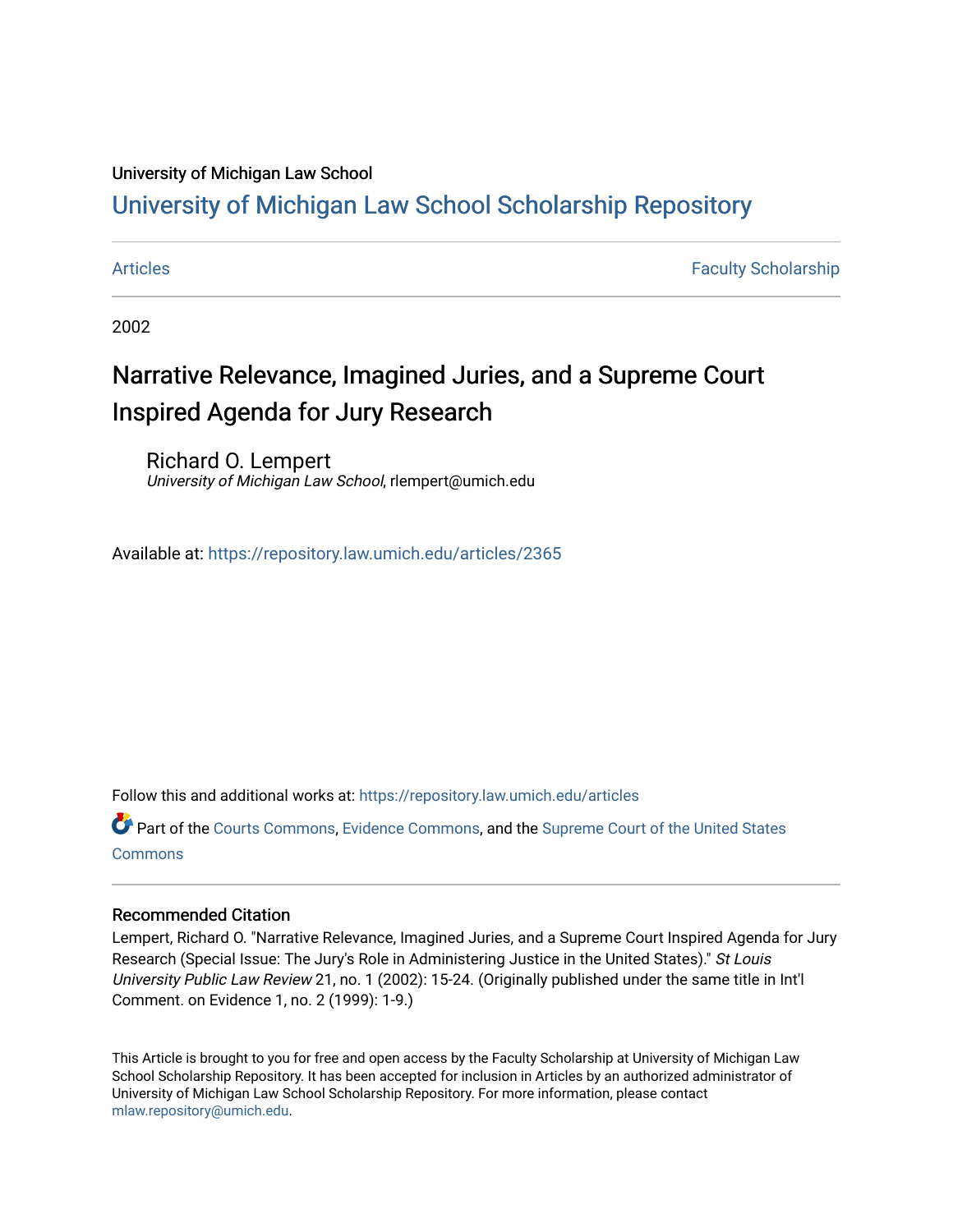# University of Michigan Law School

# [University of Michigan Law School Scholarship Repository](https://repository.law.umich.edu/)

[Articles](https://repository.law.umich.edu/articles) **Faculty Scholarship** Faculty Scholarship

2002

# Narrative Relevance, Imagined Juries, and a Supreme Court Inspired Agenda for Jury Research

Richard O. Lempert University of Michigan Law School, rlempert@umich.edu

Available at: <https://repository.law.umich.edu/articles/2365>

Follow this and additional works at: [https://repository.law.umich.edu/articles](https://repository.law.umich.edu/articles?utm_source=repository.law.umich.edu%2Farticles%2F2365&utm_medium=PDF&utm_campaign=PDFCoverPages) 

Part of the [Courts Commons,](http://network.bepress.com/hgg/discipline/839?utm_source=repository.law.umich.edu%2Farticles%2F2365&utm_medium=PDF&utm_campaign=PDFCoverPages) [Evidence Commons](http://network.bepress.com/hgg/discipline/601?utm_source=repository.law.umich.edu%2Farticles%2F2365&utm_medium=PDF&utm_campaign=PDFCoverPages), and the [Supreme Court of the United States](http://network.bepress.com/hgg/discipline/1350?utm_source=repository.law.umich.edu%2Farticles%2F2365&utm_medium=PDF&utm_campaign=PDFCoverPages) **[Commons](http://network.bepress.com/hgg/discipline/1350?utm_source=repository.law.umich.edu%2Farticles%2F2365&utm_medium=PDF&utm_campaign=PDFCoverPages)** 

## Recommended Citation

Lempert, Richard O. "Narrative Relevance, Imagined Juries, and a Supreme Court Inspired Agenda for Jury Research (Special Issue: The Jury's Role in Administering Justice in the United States)." St Louis University Public Law Review 21, no. 1 (2002): 15-24. (Originally published under the same title in Int'l Comment. on Evidence 1, no. 2 (1999): 1-9.)

This Article is brought to you for free and open access by the Faculty Scholarship at University of Michigan Law School Scholarship Repository. It has been accepted for inclusion in Articles by an authorized administrator of University of Michigan Law School Scholarship Repository. For more information, please contact [mlaw.repository@umich.edu.](mailto:mlaw.repository@umich.edu)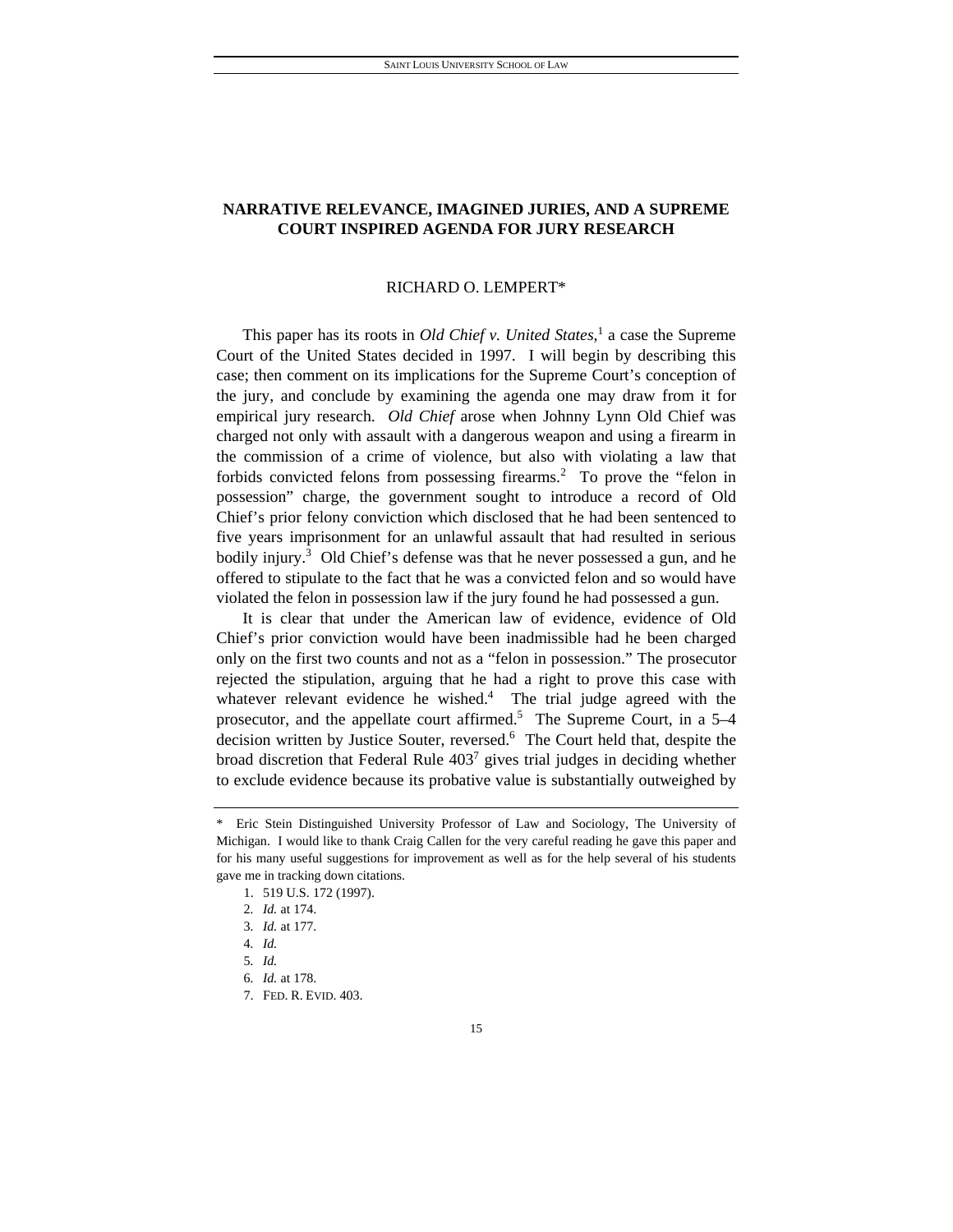### **NARRATIVE RELEVANCE, IMAGINED JURIES, AND A SUPREME COURT INSPIRED AGENDA FOR JURY RESEARCH**

### RICHARD O. LEMPERT\*

This paper has its roots in *Old Chief v. United States*,<sup>1</sup> a case the Supreme Court of the United States decided in 1997. I will begin by describing this case; then comment on its implications for the Supreme Court's conception of the jury, and conclude by examining the agenda one may draw from it for empirical jury research. *Old Chief* arose when Johnny Lynn Old Chief was charged not only with assault with a dangerous weapon and using a firearm in the commission of a crime of violence, but also with violating a law that forbids convicted felons from possessing firearms.<sup>2</sup> To prove the "felon in possession" charge, the government sought to introduce a record of Old Chief's prior felony conviction which disclosed that he had been sentenced to five years imprisonment for an unlawful assault that had resulted in serious bodily injury.3 Old Chief's defense was that he never possessed a gun, and he offered to stipulate to the fact that he was a convicted felon and so would have violated the felon in possession law if the jury found he had possessed a gun.

It is clear that under the American law of evidence, evidence of Old Chief's prior conviction would have been inadmissible had he been charged only on the first two counts and not as a "felon in possession." The prosecutor rejected the stipulation, arguing that he had a right to prove this case with whatever relevant evidence he wished. $4$  The trial judge agreed with the prosecutor, and the appellate court affirmed.<sup>5</sup> The Supreme Court, in a  $5-4$ decision written by Justice Souter, reversed.<sup>6</sup> The Court held that, despite the broad discretion that Federal Rule  $403<sup>7</sup>$  gives trial judges in deciding whether to exclude evidence because its probative value is substantially outweighed by

<sup>\*</sup> Eric Stein Distinguished University Professor of Law and Sociology, The University of Michigan. I would like to thank Craig Callen for the very careful reading he gave this paper and for his many useful suggestions for improvement as well as for the help several of his students gave me in tracking down citations.

 <sup>1. 519</sup> U.S. 172 (1997).

<sup>2</sup>*. Id.* at 174.

<sup>3</sup>*. Id.* at 177.

<sup>4</sup>*. Id.*

<sup>5</sup>*. Id.*

<sup>6</sup>*. Id.* at 178.

 <sup>7.</sup> FED. R. EVID. 403.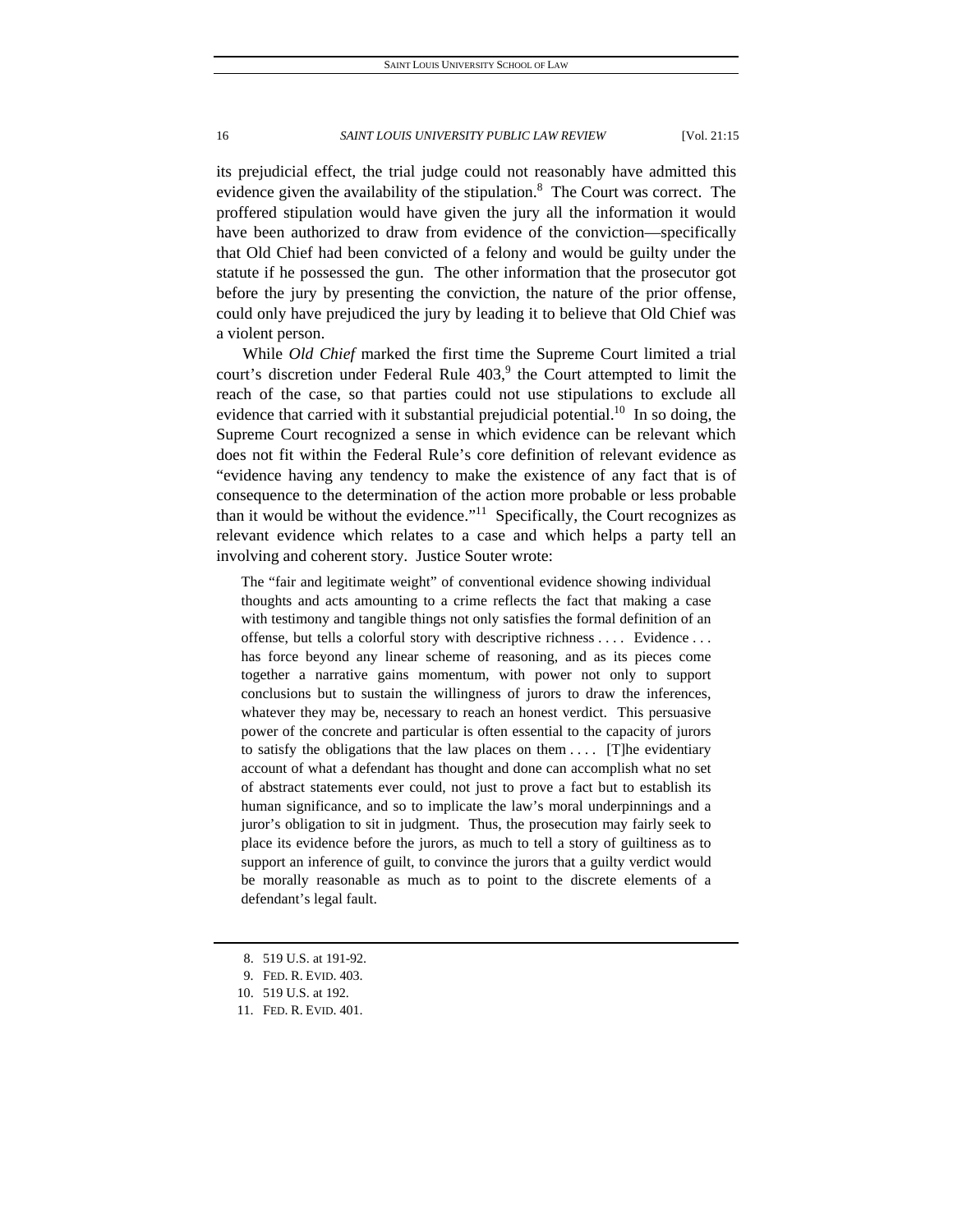its prejudicial effect, the trial judge could not reasonably have admitted this evidence given the availability of the stipulation. $8$  The Court was correct. The proffered stipulation would have given the jury all the information it would have been authorized to draw from evidence of the conviction—specifically that Old Chief had been convicted of a felony and would be guilty under the statute if he possessed the gun. The other information that the prosecutor got before the jury by presenting the conviction, the nature of the prior offense, could only have prejudiced the jury by leading it to believe that Old Chief was a violent person.

While *Old Chief* marked the first time the Supreme Court limited a trial court's discretion under Federal Rule  $403$ , the Court attempted to limit the reach of the case, so that parties could not use stipulations to exclude all evidence that carried with it substantial prejudicial potential.<sup>10</sup> In so doing, the Supreme Court recognized a sense in which evidence can be relevant which does not fit within the Federal Rule's core definition of relevant evidence as "evidence having any tendency to make the existence of any fact that is of consequence to the determination of the action more probable or less probable than it would be without the evidence." $11$  Specifically, the Court recognizes as relevant evidence which relates to a case and which helps a party tell an involving and coherent story. Justice Souter wrote:

The "fair and legitimate weight" of conventional evidence showing individual thoughts and acts amounting to a crime reflects the fact that making a case with testimony and tangible things not only satisfies the formal definition of an offense, but tells a colorful story with descriptive richness . . . . Evidence . . . has force beyond any linear scheme of reasoning, and as its pieces come together a narrative gains momentum, with power not only to support conclusions but to sustain the willingness of jurors to draw the inferences, whatever they may be, necessary to reach an honest verdict. This persuasive power of the concrete and particular is often essential to the capacity of jurors to satisfy the obligations that the law places on them .... [T]he evidentiary account of what a defendant has thought and done can accomplish what no set of abstract statements ever could, not just to prove a fact but to establish its human significance, and so to implicate the law's moral underpinnings and a juror's obligation to sit in judgment. Thus, the prosecution may fairly seek to place its evidence before the jurors, as much to tell a story of guiltiness as to support an inference of guilt, to convince the jurors that a guilty verdict would be morally reasonable as much as to point to the discrete elements of a defendant's legal fault.

 <sup>8. 519</sup> U.S. at 191-92.

 <sup>9.</sup> FED. R. EVID. 403.

 <sup>10. 519</sup> U.S. at 192.

 <sup>11.</sup> FED. R. EVID. 401.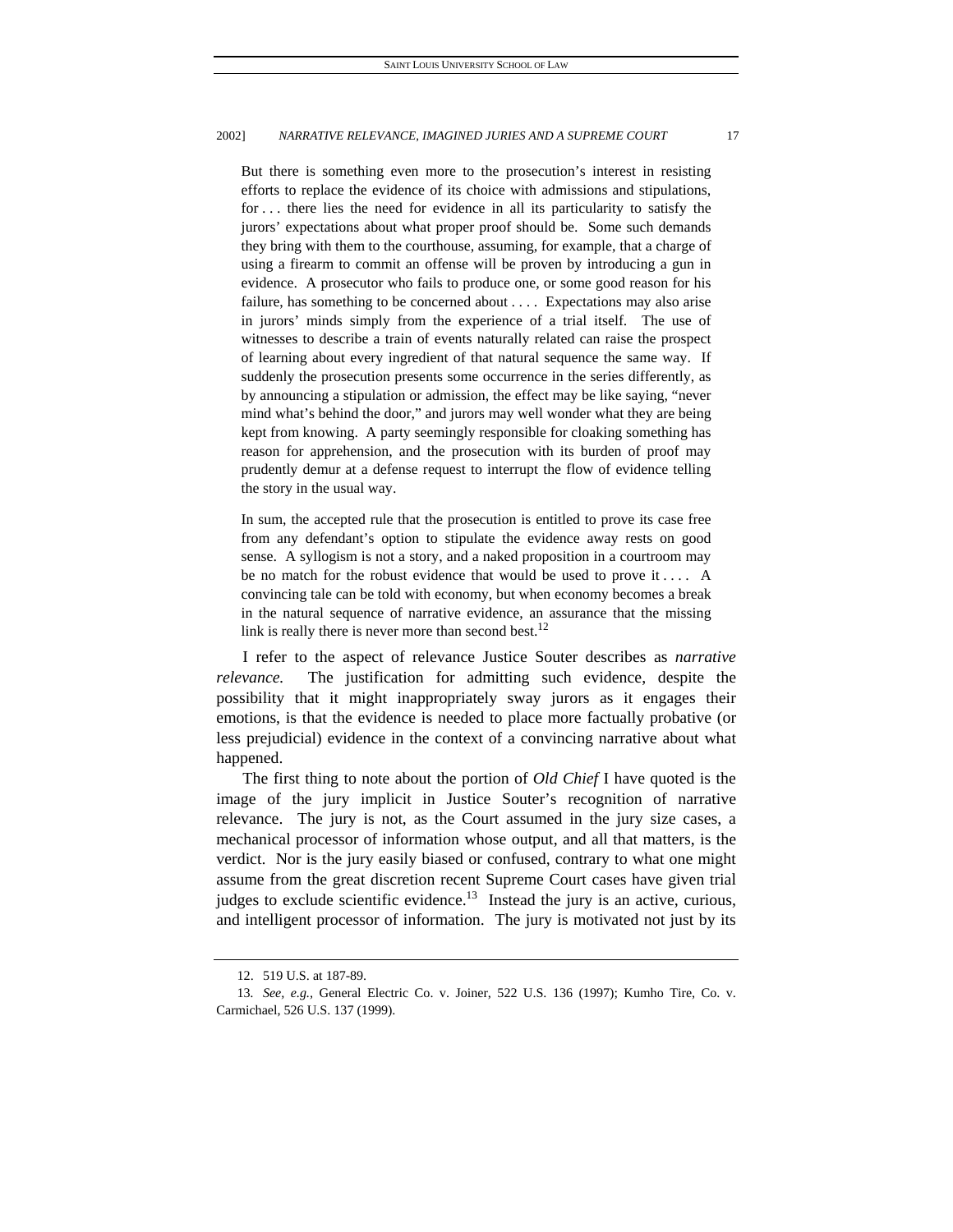But there is something even more to the prosecution's interest in resisting efforts to replace the evidence of its choice with admissions and stipulations, for . . . there lies the need for evidence in all its particularity to satisfy the jurors' expectations about what proper proof should be. Some such demands they bring with them to the courthouse, assuming, for example, that a charge of using a firearm to commit an offense will be proven by introducing a gun in evidence. A prosecutor who fails to produce one, or some good reason for his failure, has something to be concerned about . . . . Expectations may also arise in jurors' minds simply from the experience of a trial itself. The use of witnesses to describe a train of events naturally related can raise the prospect of learning about every ingredient of that natural sequence the same way. If suddenly the prosecution presents some occurrence in the series differently, as by announcing a stipulation or admission, the effect may be like saying, "never mind what's behind the door," and jurors may well wonder what they are being kept from knowing. A party seemingly responsible for cloaking something has reason for apprehension, and the prosecution with its burden of proof may prudently demur at a defense request to interrupt the flow of evidence telling the story in the usual way.

In sum, the accepted rule that the prosecution is entitled to prove its case free from any defendant's option to stipulate the evidence away rests on good sense. A syllogism is not a story, and a naked proposition in a courtroom may be no match for the robust evidence that would be used to prove it .... A convincing tale can be told with economy, but when economy becomes a break in the natural sequence of narrative evidence, an assurance that the missing link is really there is never more than second best.<sup>12</sup>

I refer to the aspect of relevance Justice Souter describes as *narrative relevance.* The justification for admitting such evidence, despite the possibility that it might inappropriately sway jurors as it engages their emotions, is that the evidence is needed to place more factually probative (or less prejudicial) evidence in the context of a convincing narrative about what happened.

The first thing to note about the portion of *Old Chief* I have quoted is the image of the jury implicit in Justice Souter's recognition of narrative relevance. The jury is not, as the Court assumed in the jury size cases, a mechanical processor of information whose output, and all that matters, is the verdict. Nor is the jury easily biased or confused, contrary to what one might assume from the great discretion recent Supreme Court cases have given trial judges to exclude scientific evidence.<sup>13</sup> Instead the jury is an active, curious, and intelligent processor of information. The jury is motivated not just by its

 <sup>12. 519</sup> U.S. at 187-89.

<sup>13</sup>*. See, e.g.,* General Electric Co. v. Joiner, 522 U.S. 136 (1997); Kumho Tire, Co. v. Carmichael, 526 U.S. 137 (1999).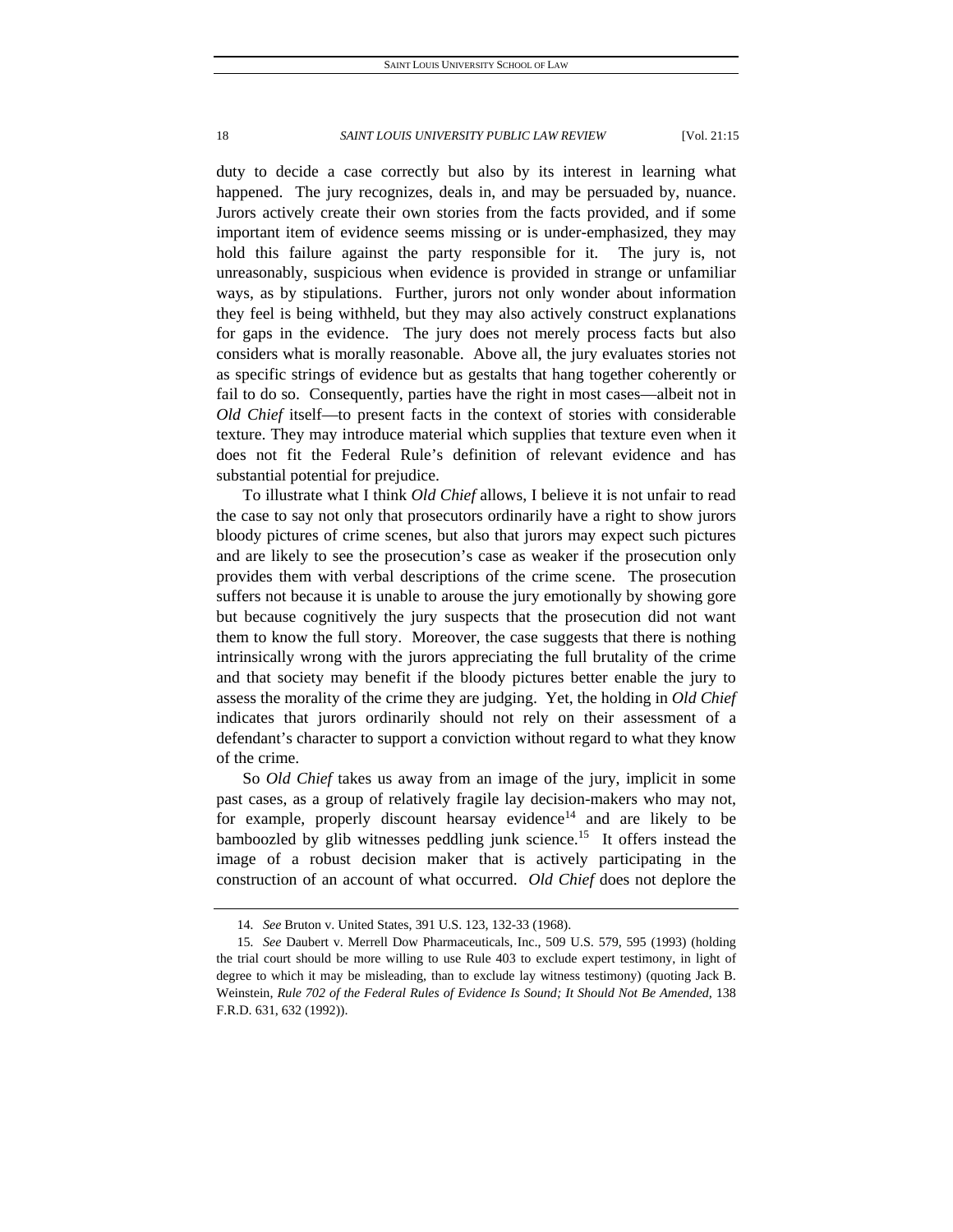duty to decide a case correctly but also by its interest in learning what happened. The jury recognizes, deals in, and may be persuaded by, nuance. Jurors actively create their own stories from the facts provided, and if some important item of evidence seems missing or is under-emphasized, they may hold this failure against the party responsible for it. The jury is, not unreasonably, suspicious when evidence is provided in strange or unfamiliar ways, as by stipulations. Further, jurors not only wonder about information they feel is being withheld, but they may also actively construct explanations for gaps in the evidence. The jury does not merely process facts but also considers what is morally reasonable. Above all, the jury evaluates stories not as specific strings of evidence but as gestalts that hang together coherently or fail to do so. Consequently, parties have the right in most cases—albeit not in *Old Chief* itself—to present facts in the context of stories with considerable texture. They may introduce material which supplies that texture even when it does not fit the Federal Rule's definition of relevant evidence and has substantial potential for prejudice.

To illustrate what I think *Old Chief* allows, I believe it is not unfair to read the case to say not only that prosecutors ordinarily have a right to show jurors bloody pictures of crime scenes, but also that jurors may expect such pictures and are likely to see the prosecution's case as weaker if the prosecution only provides them with verbal descriptions of the crime scene. The prosecution suffers not because it is unable to arouse the jury emotionally by showing gore but because cognitively the jury suspects that the prosecution did not want them to know the full story. Moreover, the case suggests that there is nothing intrinsically wrong with the jurors appreciating the full brutality of the crime and that society may benefit if the bloody pictures better enable the jury to assess the morality of the crime they are judging. Yet, the holding in *Old Chief* indicates that jurors ordinarily should not rely on their assessment of a defendant's character to support a conviction without regard to what they know of the crime.

So *Old Chief* takes us away from an image of the jury, implicit in some past cases, as a group of relatively fragile lay decision-makers who may not, for example, properly discount hearsay evidence<sup>14</sup> and are likely to be bamboozled by glib witnesses peddling junk science.<sup>15</sup> It offers instead the image of a robust decision maker that is actively participating in the construction of an account of what occurred. *Old Chief* does not deplore the

<sup>14</sup>*. See* Bruton v. United States, 391 U.S. 123, 132-33 (1968).

<sup>15</sup>*. See* Daubert v. Merrell Dow Pharmaceuticals, Inc., 509 U.S. 579, 595 (1993) (holding the trial court should be more willing to use Rule 403 to exclude expert testimony, in light of degree to which it may be misleading, than to exclude lay witness testimony) (quoting Jack B. Weinstein, *Rule 702 of the Federal Rules of Evidence Is Sound; It Should Not Be Amended*, 138 F.R.D. 631, 632 (1992)).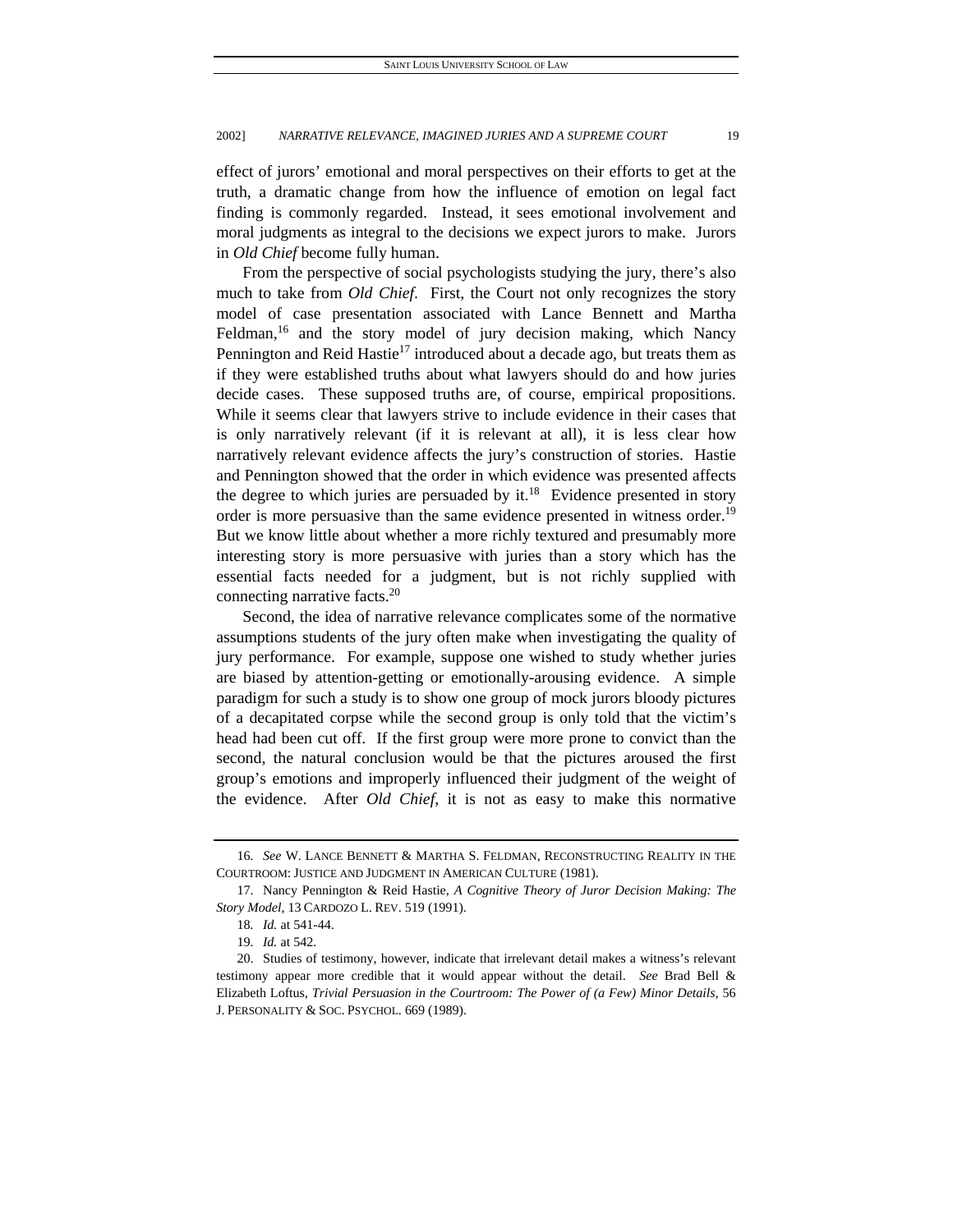effect of jurors' emotional and moral perspectives on their efforts to get at the truth, a dramatic change from how the influence of emotion on legal fact finding is commonly regarded. Instead, it sees emotional involvement and moral judgments as integral to the decisions we expect jurors to make. Jurors in *Old Chief* become fully human.

From the perspective of social psychologists studying the jury, there's also much to take from *Old Chief*. First, the Court not only recognizes the story model of case presentation associated with Lance Bennett and Martha Feldman,<sup>16</sup> and the story model of jury decision making, which Nancy Pennington and Reid Hastie<sup>17</sup> introduced about a decade ago, but treats them as if they were established truths about what lawyers should do and how juries decide cases. These supposed truths are, of course, empirical propositions. While it seems clear that lawyers strive to include evidence in their cases that is only narratively relevant (if it is relevant at all), it is less clear how narratively relevant evidence affects the jury's construction of stories. Hastie and Pennington showed that the order in which evidence was presented affects the degree to which juries are persuaded by it. $18$  Evidence presented in story order is more persuasive than the same evidence presented in witness order.<sup>19</sup> But we know little about whether a more richly textured and presumably more interesting story is more persuasive with juries than a story which has the essential facts needed for a judgment, but is not richly supplied with connecting narrative facts.<sup>20</sup>

Second, the idea of narrative relevance complicates some of the normative assumptions students of the jury often make when investigating the quality of jury performance. For example, suppose one wished to study whether juries are biased by attention-getting or emotionally-arousing evidence. A simple paradigm for such a study is to show one group of mock jurors bloody pictures of a decapitated corpse while the second group is only told that the victim's head had been cut off. If the first group were more prone to convict than the second, the natural conclusion would be that the pictures aroused the first group's emotions and improperly influenced their judgment of the weight of the evidence. After *Old Chief*, it is not as easy to make this normative

<sup>16</sup>*. See* W. LANCE BENNETT & MARTHA S. FELDMAN, RECONSTRUCTING REALITY IN THE COURTROOM: JUSTICE AND JUDGMENT IN AMERICAN CULTURE (1981).

 <sup>17.</sup> Nancy Pennington & Reid Hastie, *A Cognitive Theory of Juror Decision Making: The Story Model*, 13 CARDOZO L. REV. 519 (1991).

<sup>18</sup>*. Id.* at 541-44.

<sup>19</sup>*. Id.* at 542.

 <sup>20.</sup> Studies of testimony, however, indicate that irrelevant detail makes a witness's relevant testimony appear more credible that it would appear without the detail. *See* Brad Bell & Elizabeth Loftus, *Trivial Persuasion in the Courtroom: The Power of (a Few) Minor Details*, 56 J. PERSONALITY & SOC. PSYCHOL. 669 (1989).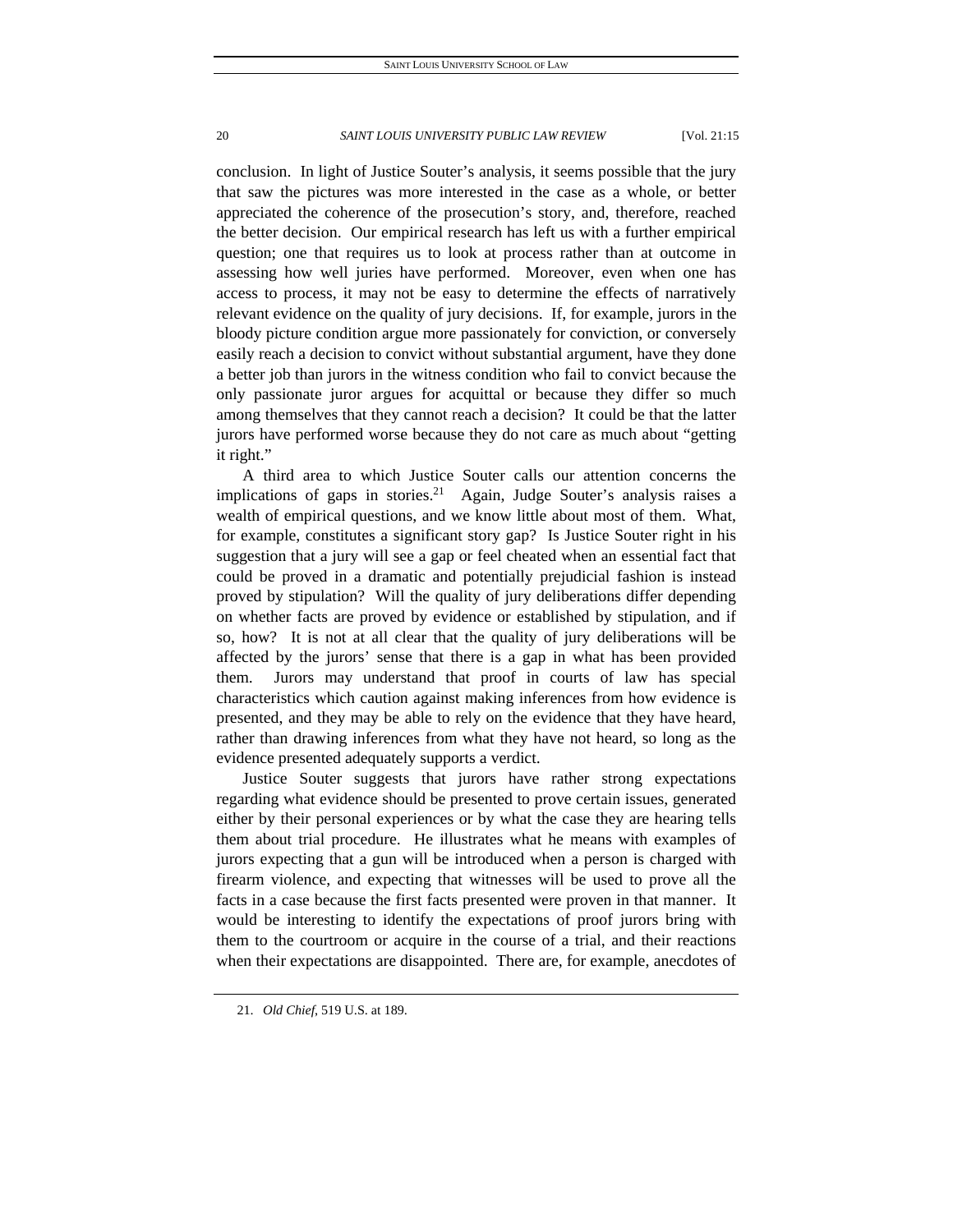conclusion. In light of Justice Souter's analysis, it seems possible that the jury that saw the pictures was more interested in the case as a whole, or better appreciated the coherence of the prosecution's story, and, therefore, reached the better decision. Our empirical research has left us with a further empirical question; one that requires us to look at process rather than at outcome in assessing how well juries have performed. Moreover, even when one has access to process, it may not be easy to determine the effects of narratively relevant evidence on the quality of jury decisions. If, for example, jurors in the bloody picture condition argue more passionately for conviction, or conversely easily reach a decision to convict without substantial argument, have they done a better job than jurors in the witness condition who fail to convict because the only passionate juror argues for acquittal or because they differ so much among themselves that they cannot reach a decision? It could be that the latter jurors have performed worse because they do not care as much about "getting it right."

A third area to which Justice Souter calls our attention concerns the implications of gaps in stories.<sup>21</sup> Again, Judge Souter's analysis raises a wealth of empirical questions, and we know little about most of them. What, for example, constitutes a significant story gap? Is Justice Souter right in his suggestion that a jury will see a gap or feel cheated when an essential fact that could be proved in a dramatic and potentially prejudicial fashion is instead proved by stipulation? Will the quality of jury deliberations differ depending on whether facts are proved by evidence or established by stipulation, and if so, how? It is not at all clear that the quality of jury deliberations will be affected by the jurors' sense that there is a gap in what has been provided them. Jurors may understand that proof in courts of law has special characteristics which caution against making inferences from how evidence is presented, and they may be able to rely on the evidence that they have heard, rather than drawing inferences from what they have not heard, so long as the evidence presented adequately supports a verdict.

Justice Souter suggests that jurors have rather strong expectations regarding what evidence should be presented to prove certain issues, generated either by their personal experiences or by what the case they are hearing tells them about trial procedure. He illustrates what he means with examples of jurors expecting that a gun will be introduced when a person is charged with firearm violence, and expecting that witnesses will be used to prove all the facts in a case because the first facts presented were proven in that manner. It would be interesting to identify the expectations of proof jurors bring with them to the courtroom or acquire in the course of a trial, and their reactions when their expectations are disappointed. There are, for example, anecdotes of

 <sup>21.</sup> *Old Chief*, 519 U.S. at 189.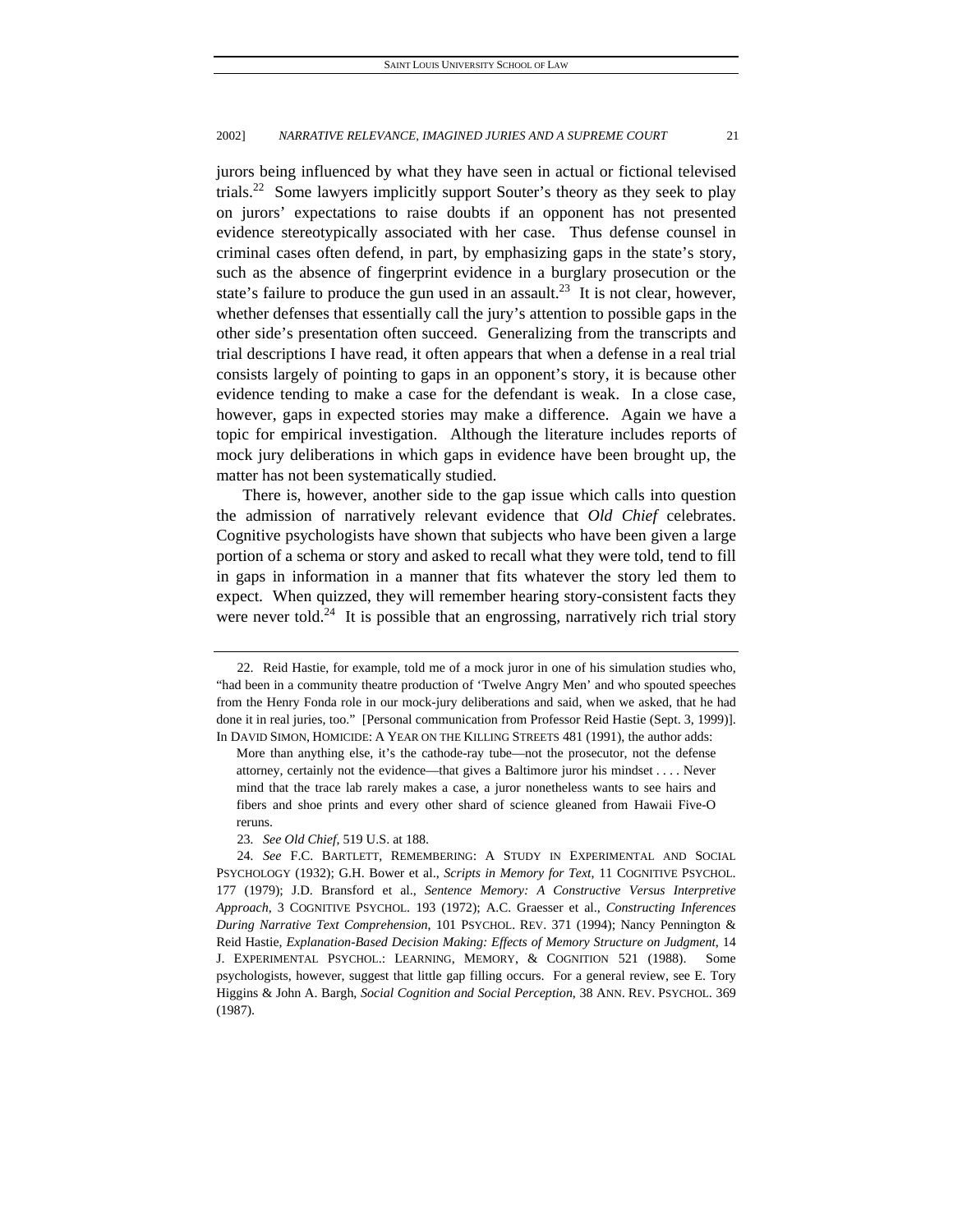jurors being influenced by what they have seen in actual or fictional televised trials.<sup>22</sup> Some lawyers implicitly support Souter's theory as they seek to play on jurors' expectations to raise doubts if an opponent has not presented evidence stereotypically associated with her case. Thus defense counsel in criminal cases often defend, in part, by emphasizing gaps in the state's story, such as the absence of fingerprint evidence in a burglary prosecution or the state's failure to produce the gun used in an assault.<sup>23</sup> It is not clear, however, whether defenses that essentially call the jury's attention to possible gaps in the other side's presentation often succeed. Generalizing from the transcripts and trial descriptions I have read, it often appears that when a defense in a real trial consists largely of pointing to gaps in an opponent's story, it is because other evidence tending to make a case for the defendant is weak. In a close case, however, gaps in expected stories may make a difference. Again we have a topic for empirical investigation. Although the literature includes reports of mock jury deliberations in which gaps in evidence have been brought up, the matter has not been systematically studied.

There is, however, another side to the gap issue which calls into question the admission of narratively relevant evidence that *Old Chief* celebrates. Cognitive psychologists have shown that subjects who have been given a large portion of a schema or story and asked to recall what they were told, tend to fill in gaps in information in a manner that fits whatever the story led them to expect. When quizzed, they will remember hearing story-consistent facts they were never told.<sup>24</sup> It is possible that an engrossing, narratively rich trial story

 <sup>22.</sup> Reid Hastie, for example, told me of a mock juror in one of his simulation studies who, "had been in a community theatre production of 'Twelve Angry Men' and who spouted speeches from the Henry Fonda role in our mock-jury deliberations and said, when we asked, that he had done it in real juries, too." [Personal communication from Professor Reid Hastie (Sept. 3, 1999)]. In DAVID SIMON, HOMICIDE: A YEAR ON THE KILLING STREETS 481 (1991), the author adds:

More than anything else, it's the cathode-ray tube—not the prosecutor, not the defense attorney, certainly not the evidence—that gives a Baltimore juror his mindset . . . . Never mind that the trace lab rarely makes a case, a juror nonetheless wants to see hairs and fibers and shoe prints and every other shard of science gleaned from Hawaii Five-O reruns.

<sup>23</sup>*. See Old Chief*, 519 U.S. at 188.

<sup>24</sup>*. See* F.C. BARTLETT, REMEMBERING: A STUDY IN EXPERIMENTAL AND SOCIAL PSYCHOLOGY (1932); G.H. Bower et al., *Scripts in Memory for Text*, 11 COGNITIVE PSYCHOL. 177 (1979); J.D. Bransford et al., *Sentence Memory: A Constructive Versus Interpretive Approach*, 3 COGNITIVE PSYCHOL. 193 (1972); A.C. Graesser et al., *Constructing Inferences During Narrative Text Comprehension*, 101 PSYCHOL. REV. 371 (1994); Nancy Pennington & Reid Hastie, *Explanation-Based Decision Making: Effects of Memory Structure on Judgment*, 14 J. EXPERIMENTAL PSYCHOL.: LEARNING, MEMORY, & COGNITION 521 (1988). Some psychologists, however, suggest that little gap filling occurs. For a general review, see E. Tory Higgins & John A. Bargh, *Social Cognition and Social Perception*, 38 ANN. REV. PSYCHOL. 369 (1987).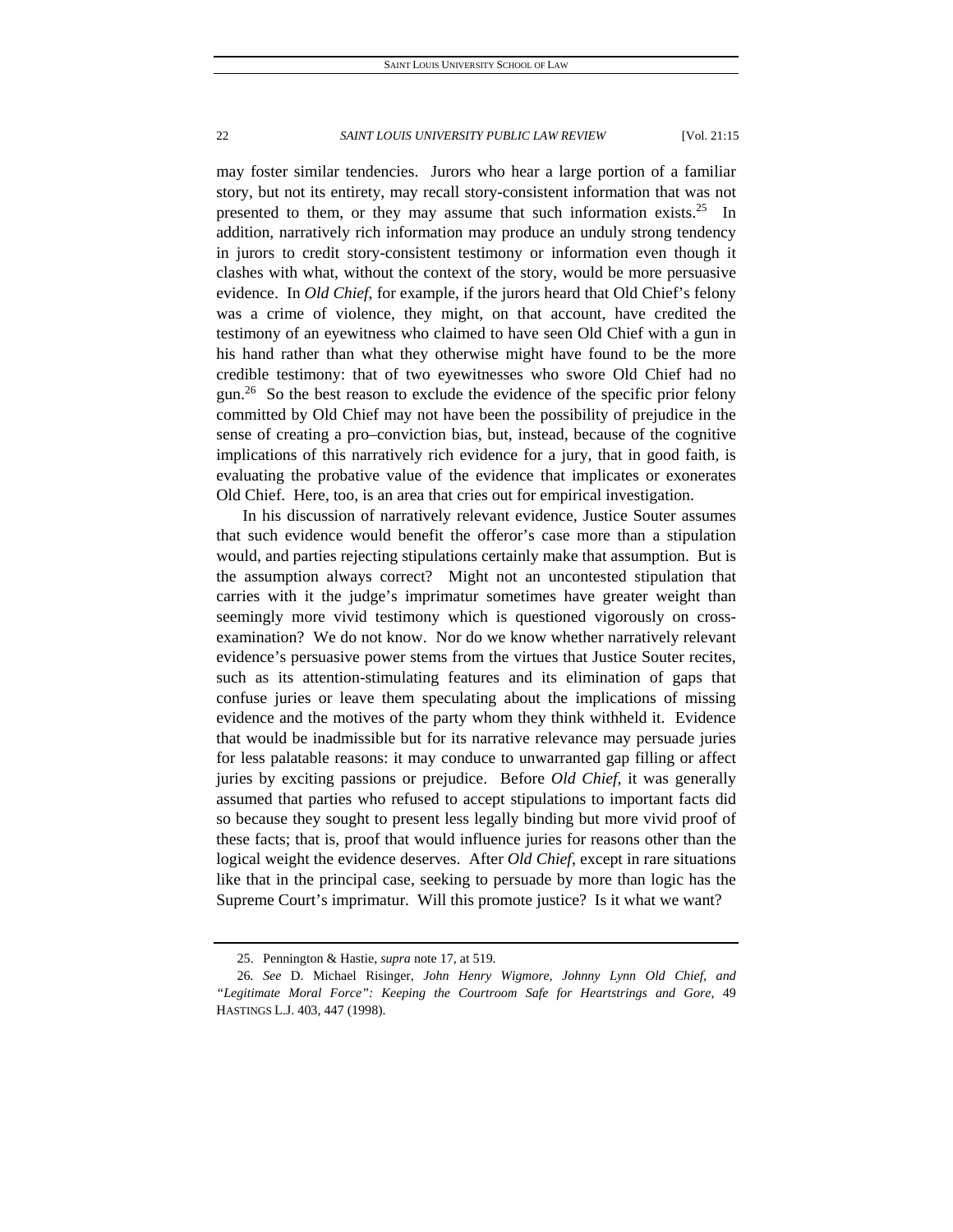may foster similar tendencies. Jurors who hear a large portion of a familiar story, but not its entirety, may recall story-consistent information that was not presented to them, or they may assume that such information exists.<sup>25</sup> In addition, narratively rich information may produce an unduly strong tendency in jurors to credit story-consistent testimony or information even though it clashes with what, without the context of the story, would be more persuasive evidence. In *Old Chief*, for example, if the jurors heard that Old Chief's felony was a crime of violence, they might, on that account, have credited the testimony of an eyewitness who claimed to have seen Old Chief with a gun in his hand rather than what they otherwise might have found to be the more credible testimony: that of two eyewitnesses who swore Old Chief had no gun.<sup>26</sup> So the best reason to exclude the evidence of the specific prior felony committed by Old Chief may not have been the possibility of prejudice in the sense of creating a pro–conviction bias, but, instead, because of the cognitive implications of this narratively rich evidence for a jury, that in good faith, is evaluating the probative value of the evidence that implicates or exonerates Old Chief. Here, too, is an area that cries out for empirical investigation.

In his discussion of narratively relevant evidence, Justice Souter assumes that such evidence would benefit the offeror's case more than a stipulation would, and parties rejecting stipulations certainly make that assumption. But is the assumption always correct? Might not an uncontested stipulation that carries with it the judge's imprimatur sometimes have greater weight than seemingly more vivid testimony which is questioned vigorously on crossexamination? We do not know. Nor do we know whether narratively relevant evidence's persuasive power stems from the virtues that Justice Souter recites, such as its attention-stimulating features and its elimination of gaps that confuse juries or leave them speculating about the implications of missing evidence and the motives of the party whom they think withheld it. Evidence that would be inadmissible but for its narrative relevance may persuade juries for less palatable reasons: it may conduce to unwarranted gap filling or affect juries by exciting passions or prejudice. Before *Old Chief,* it was generally assumed that parties who refused to accept stipulations to important facts did so because they sought to present less legally binding but more vivid proof of these facts; that is, proof that would influence juries for reasons other than the logical weight the evidence deserves. After *Old Chief*, except in rare situations like that in the principal case, seeking to persuade by more than logic has the Supreme Court's imprimatur. Will this promote justice? Is it what we want?

 <sup>25.</sup> Pennington & Hastie, *supra* note 17, at 519.

<sup>26</sup>*. See* D. Michael Risinger, *John Henry Wigmore, Johnny Lynn Old Chief, and "Legitimate Moral Force": Keeping the Courtroom Safe for Heartstrings and Gore*, 49 HASTINGS L.J. 403, 447 (1998).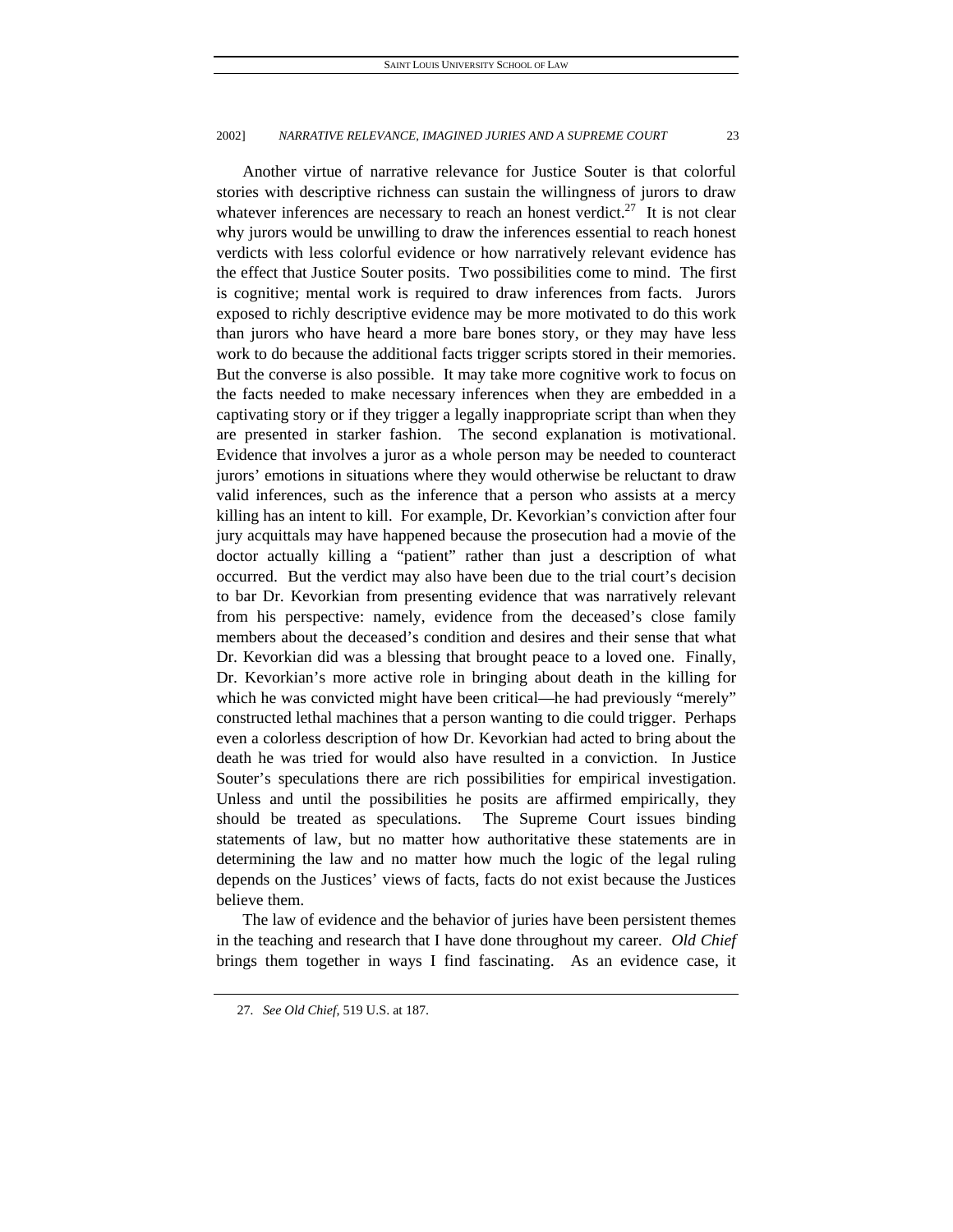Another virtue of narrative relevance for Justice Souter is that colorful stories with descriptive richness can sustain the willingness of jurors to draw whatever inferences are necessary to reach an honest verdict.<sup>27</sup> It is not clear why jurors would be unwilling to draw the inferences essential to reach honest verdicts with less colorful evidence or how narratively relevant evidence has the effect that Justice Souter posits. Two possibilities come to mind. The first is cognitive; mental work is required to draw inferences from facts. Jurors exposed to richly descriptive evidence may be more motivated to do this work than jurors who have heard a more bare bones story, or they may have less work to do because the additional facts trigger scripts stored in their memories. But the converse is also possible. It may take more cognitive work to focus on the facts needed to make necessary inferences when they are embedded in a captivating story or if they trigger a legally inappropriate script than when they are presented in starker fashion. The second explanation is motivational. Evidence that involves a juror as a whole person may be needed to counteract jurors' emotions in situations where they would otherwise be reluctant to draw valid inferences, such as the inference that a person who assists at a mercy killing has an intent to kill. For example, Dr. Kevorkian's conviction after four jury acquittals may have happened because the prosecution had a movie of the doctor actually killing a "patient" rather than just a description of what occurred. But the verdict may also have been due to the trial court's decision to bar Dr. Kevorkian from presenting evidence that was narratively relevant from his perspective: namely, evidence from the deceased's close family members about the deceased's condition and desires and their sense that what Dr. Kevorkian did was a blessing that brought peace to a loved one. Finally, Dr. Kevorkian's more active role in bringing about death in the killing for which he was convicted might have been critical—he had previously "merely" constructed lethal machines that a person wanting to die could trigger. Perhaps even a colorless description of how Dr. Kevorkian had acted to bring about the death he was tried for would also have resulted in a conviction. In Justice Souter's speculations there are rich possibilities for empirical investigation. Unless and until the possibilities he posits are affirmed empirically, they should be treated as speculations. The Supreme Court issues binding statements of law, but no matter how authoritative these statements are in determining the law and no matter how much the logic of the legal ruling depends on the Justices' views of facts, facts do not exist because the Justices believe them.

The law of evidence and the behavior of juries have been persistent themes in the teaching and research that I have done throughout my career. *Old Chief* brings them together in ways I find fascinating. As an evidence case, it

<sup>27</sup>*. See Old Chief*, 519 U.S. at 187.